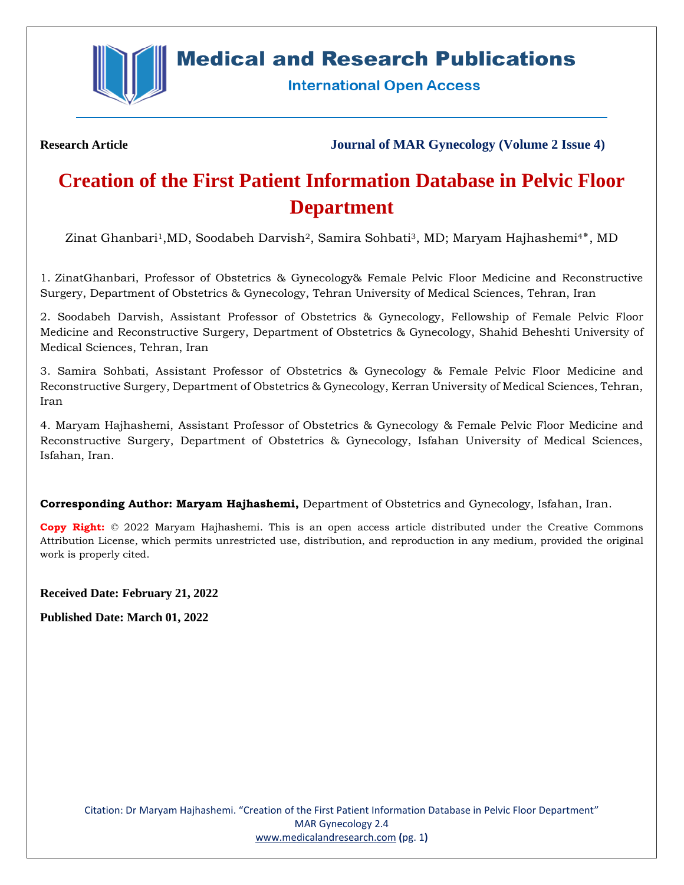

## **Medical and Research Publications**

**International Open Access** 

**Research Article Journal of MAR Gynecology (Volume 2 Issue 4)**

# **Creation of the First Patient Information Database in Pelvic Floor Department**

Zinat Ghanbari<sup>1</sup>,MD, Soodabeh Darvish<sup>2</sup>, Samira Sohbati<sup>3</sup>, MD; Maryam Hajhashemi<sup>4</sup>\*, MD

1. ZinatGhanbari, Professor of Obstetrics & Gynecology& Female Pelvic Floor Medicine and Reconstructive Surgery, Department of Obstetrics & Gynecology, Tehran University of Medical Sciences, Tehran, Iran

2. Soodabeh Darvish, Assistant Professor of Obstetrics & Gynecology, Fellowship of Female Pelvic Floor Medicine and Reconstructive Surgery, Department of Obstetrics & Gynecology, Shahid Beheshti University of Medical Sciences, Tehran, Iran

3. Samira Sohbati, Assistant Professor of Obstetrics & Gynecology & Female Pelvic Floor Medicine and Reconstructive Surgery, Department of Obstetrics & Gynecology, Kerran University of Medical Sciences, Tehran, Iran

4. Maryam Hajhashemi, Assistant Professor of Obstetrics & Gynecology & Female Pelvic Floor Medicine and Reconstructive Surgery, Department of Obstetrics & Gynecology, Isfahan University of Medical Sciences, Isfahan, Iran.

**Corresponding Author: Maryam Hajhashemi,** Department of Obstetrics and Gynecology, Isfahan, Iran.

**Copy Right:** © 2022 Maryam Hajhashemi. This is an open access article distributed under the Creative Commons Attribution License, which permits unrestricted use, distribution, and reproduction in any medium, provided the original work is properly cited.

**Received Date: February 21, 2022**

**Published Date: March 01, 2022**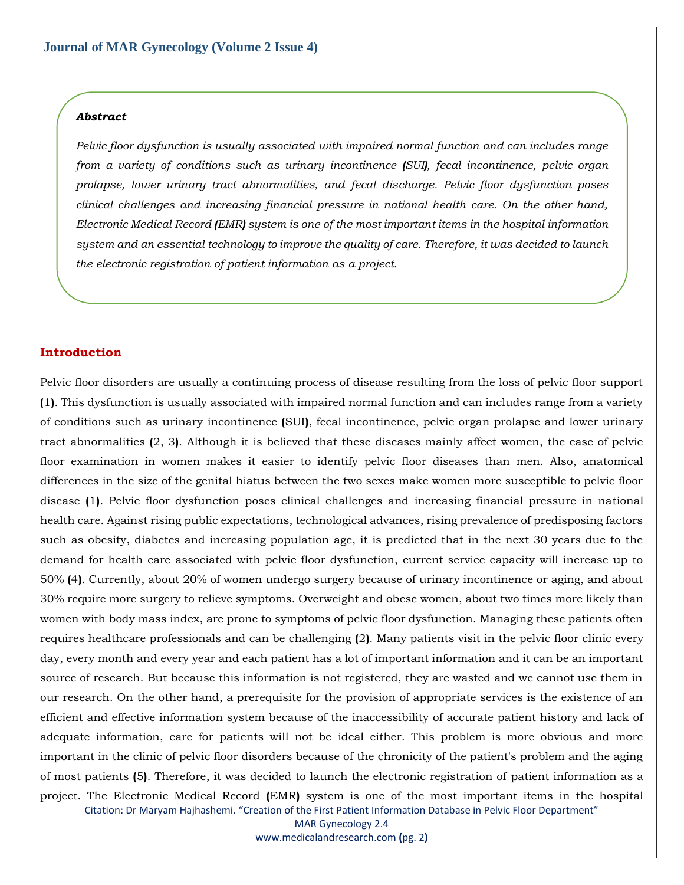#### *Abstract*

*Pelvic floor dysfunction is usually associated with impaired normal function and can includes range from a variety of conditions such as urinary incontinence (SUI), fecal incontinence, pelvic organ prolapse, lower urinary tract abnormalities, and fecal discharge. Pelvic floor dysfunction poses clinical challenges and increasing financial pressure in national health care. On the other hand, Electronic Medical Record (EMR) system is one of the most important items in the hospital information system and an essential technology to improve the quality of care. Therefore, it was decided to launch the electronic registration of patient information as a project.*

#### **Introduction**

Citation: Dr Maryam Hajhashemi. "Creation of the First Patient Information Database in Pelvic Floor Department" Pelvic floor disorders are usually a continuing process of disease resulting from the loss of pelvic floor support **(**1**)**. This dysfunction is usually associated with impaired normal function and can includes range from a variety of conditions such as urinary incontinence **(**SUI**)**, fecal incontinence, pelvic organ prolapse and lower urinary tract abnormalities **(**2, 3**)**. Although it is believed that these diseases mainly affect women, the ease of pelvic floor examination in women makes it easier to identify pelvic floor diseases than men. Also, anatomical differences in the size of the genital hiatus between the two sexes make women more susceptible to pelvic floor disease **(**1**)**. Pelvic floor dysfunction poses clinical challenges and increasing financial pressure in national health care. Against rising public expectations, technological advances, rising prevalence of predisposing factors such as obesity, diabetes and increasing population age, it is predicted that in the next 30 years due to the demand for health care associated with pelvic floor dysfunction, current service capacity will increase up to 50% **(**4**)**. Currently, about 20% of women undergo surgery because of urinary incontinence or aging, and about 30% require more surgery to relieve symptoms. Overweight and obese women, about two times more likely than women with body mass index, are prone to symptoms of pelvic floor dysfunction. Managing these patients often requires healthcare professionals and can be challenging **(**2**)**. Many patients visit in the pelvic floor clinic every day, every month and every year and each patient has a lot of important information and it can be an important source of research. But because this information is not registered, they are wasted and we cannot use them in our research. On the other hand, a prerequisite for the provision of appropriate services is the existence of an efficient and effective information system because of the inaccessibility of accurate patient history and lack of adequate information, care for patients will not be ideal either. This problem is more obvious and more important in the clinic of pelvic floor disorders because of the chronicity of the patient's problem and the aging of most patients **(**5**)**. Therefore, it was decided to launch the electronic registration of patient information as a project. The Electronic Medical Record **(**EMR**)** system is one of the most important items in the hospital

MAR Gynecology 2.4

[www.medicalandresearch.com](http://www.medicalandresearch.com/) **(**pg. 2**)**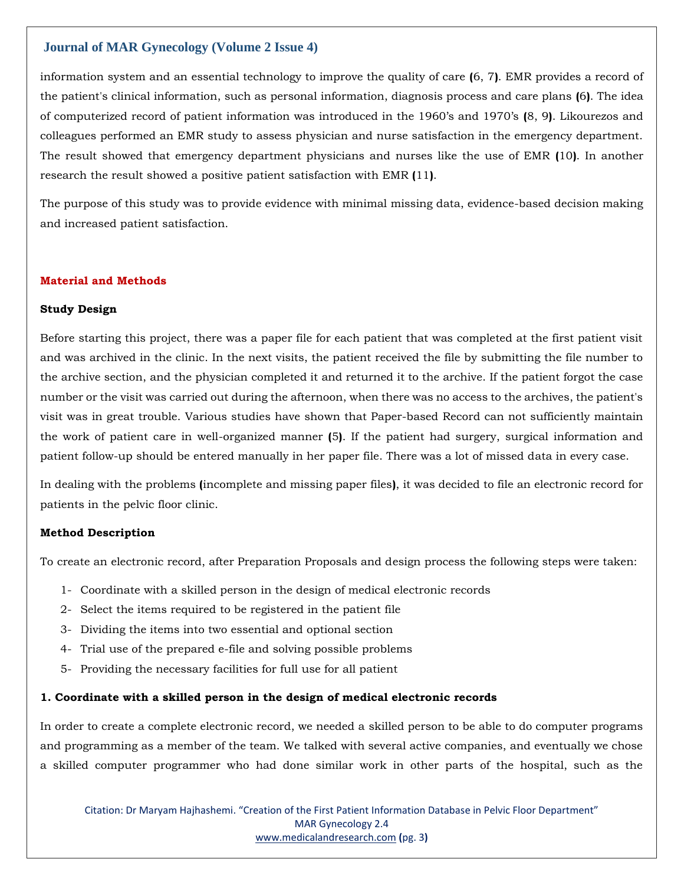information system and an essential technology to improve the quality of care **(**6, 7**)**. EMR provides a record of the patient's clinical information, such as personal information, diagnosis process and care plans **(**6**)**. The idea of computerized record of patient information was introduced in the 1960's and 1970's **(**8, 9**)**. Likourezos and colleagues performed an EMR study to assess physician and nurse satisfaction in the emergency department. The result showed that emergency department physicians and nurses like the use of EMR **(**10**)**. In another research the result showed a positive patient satisfaction with EMR **(**11**)**.

The purpose of this study was to provide evidence with minimal missing data, evidence-based decision making and increased patient satisfaction.

#### **Material and Methods**

#### **Study Design**

Before starting this project, there was a paper file for each patient that was completed at the first patient visit and was archived in the clinic. In the next visits, the patient received the file by submitting the file number to the archive section, and the physician completed it and returned it to the archive. If the patient forgot the case number or the visit was carried out during the afternoon, when there was no access to the archives, the patient's visit was in great trouble. Various studies have shown that Paper-based Record can not sufficiently maintain the work of patient care in well-organized manner **(**5**)**. If the patient had surgery, surgical information and patient follow-up should be entered manually in her paper file. There was a lot of missed data in every case.

In dealing with the problems **(**incomplete and missing paper files**)**, it was decided to file an electronic record for patients in the pelvic floor clinic.

#### **Method Description**

To create an electronic record, after Preparation Proposals and design process the following steps were taken:

- 1- Coordinate with a skilled person in the design of medical electronic records
- 2- Select the items required to be registered in the patient file
- 3- Dividing the items into two essential and optional section
- 4- Trial use of the prepared e-file and solving possible problems
- 5- Providing the necessary facilities for full use for all patient

#### **1. Coordinate with a skilled person in the design of medical electronic records**

In order to create a complete electronic record, we needed a skilled person to be able to do computer programs and programming as a member of the team. We talked with several active companies, and eventually we chose a skilled computer programmer who had done similar work in other parts of the hospital, such as the

Citation: Dr Maryam Hajhashemi. "Creation of the First Patient Information Database in Pelvic Floor Department" MAR Gynecology 2.4 [www.medicalandresearch.com](http://www.medicalandresearch.com/) **(**pg. 3**)**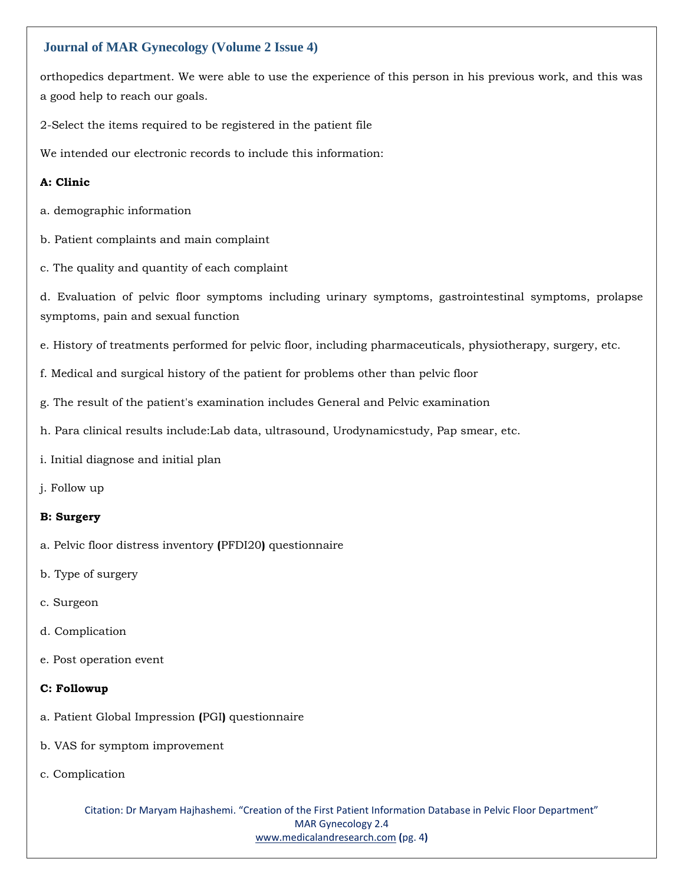orthopedics department. We were able to use the experience of this person in his previous work, and this was a good help to reach our goals.

2-Select the items required to be registered in the patient file

We intended our electronic records to include this information:

## **A: Clinic**

- a. demographic information
- b. Patient complaints and main complaint
- c. The quality and quantity of each complaint

d. Evaluation of pelvic floor symptoms including urinary symptoms, gastrointestinal symptoms, prolapse symptoms, pain and sexual function

e. History of treatments performed for pelvic floor, including pharmaceuticals, physiotherapy, surgery, etc.

- f. Medical and surgical history of the patient for problems other than pelvic floor
- g. The result of the patient's examination includes General and Pelvic examination
- h. Para clinical results include:Lab data, ultrasound, Urodynamicstudy, Pap smear, etc.
- i. Initial diagnose and initial plan
- j. Follow up

#### **B: Surgery**

- a. Pelvic floor distress inventory **(**PFDI20**)** questionnaire
- b. Type of surgery
- c. Surgeon
- d. Complication
- e. Post operation event

#### **C: Followup**

- a. Patient Global Impression **(**PGI**)** questionnaire
- b. VAS for symptom improvement
- c. Complication

Citation: Dr Maryam Hajhashemi. "Creation of the First Patient Information Database in Pelvic Floor Department" MAR Gynecology 2.4 [www.medicalandresearch.com](http://www.medicalandresearch.com/) **(**pg. 4**)**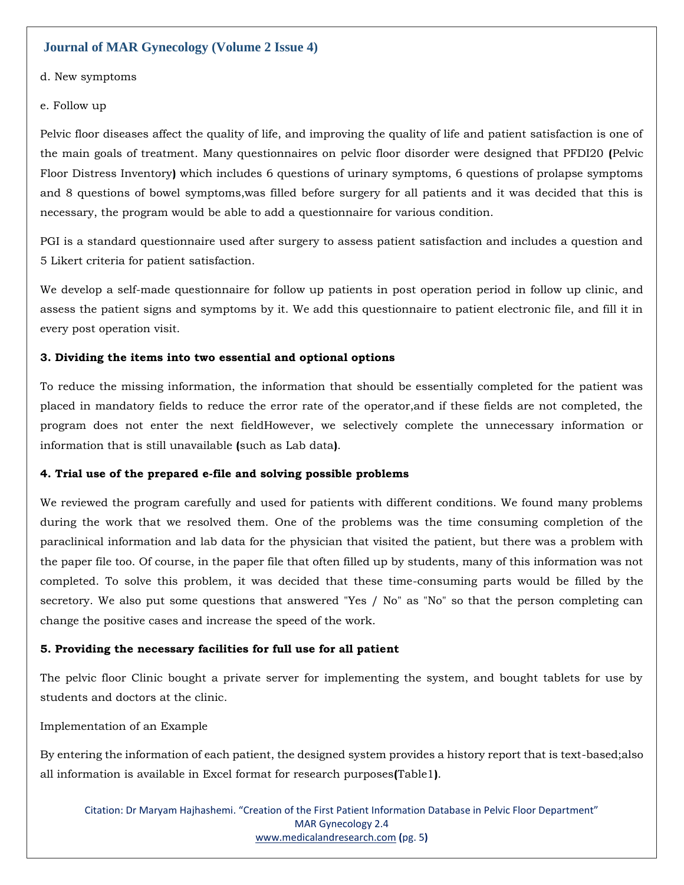- d. New symptoms
- e. Follow up

Pelvic floor diseases affect the quality of life, and improving the quality of life and patient satisfaction is one of the main goals of treatment. Many questionnaires on pelvic floor disorder were designed that PFDI20 **(**Pelvic Floor Distress Inventory**)** which includes 6 questions of urinary symptoms, 6 questions of prolapse symptoms and 8 questions of bowel symptoms,was filled before surgery for all patients and it was decided that this is necessary, the program would be able to add a questionnaire for various condition.

PGI is a standard questionnaire used after surgery to assess patient satisfaction and includes a question and 5 Likert criteria for patient satisfaction.

We develop a self-made questionnaire for follow up patients in post operation period in follow up clinic, and assess the patient signs and symptoms by it. We add this questionnaire to patient electronic file, and fill it in every post operation visit.

#### **3. Dividing the items into two essential and optional options**

To reduce the missing information, the information that should be essentially completed for the patient was placed in mandatory fields to reduce the error rate of the operator,and if these fields are not completed, the program does not enter the next fieldHowever, we selectively complete the unnecessary information or information that is still unavailable **(**such as Lab data**)**.

#### **4. Trial use of the prepared e-file and solving possible problems**

We reviewed the program carefully and used for patients with different conditions. We found many problems during the work that we resolved them. One of the problems was the time consuming completion of the paraclinical information and lab data for the physician that visited the patient, but there was a problem with the paper file too. Of course, in the paper file that often filled up by students, many of this information was not completed. To solve this problem, it was decided that these time-consuming parts would be filled by the secretory. We also put some questions that answered "Yes / No" as "No" so that the person completing can change the positive cases and increase the speed of the work.

#### **5. Providing the necessary facilities for full use for all patient**

The pelvic floor Clinic bought a private server for implementing the system, and bought tablets for use by students and doctors at the clinic.

Implementation of an Example

By entering the information of each patient, the designed system provides a history report that is text-based;also all information is available in Excel format for research purposes**(**Table1**)**.

Citation: Dr Maryam Hajhashemi. "Creation of the First Patient Information Database in Pelvic Floor Department" MAR Gynecology 2.4 [www.medicalandresearch.com](http://www.medicalandresearch.com/) **(**pg. 5**)**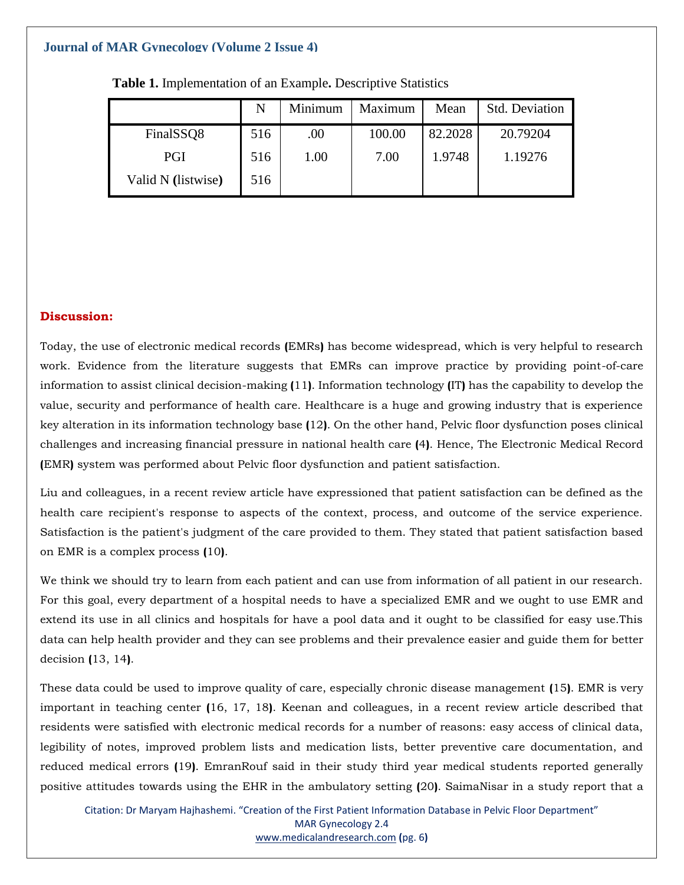|                    | N   | Minimum | Maximum | Mean    | Std. Deviation |
|--------------------|-----|---------|---------|---------|----------------|
| FinalSSQ8          | 516 | .00     | 100.00  | 82.2028 | 20.79204       |
| PGI                | 516 | 1.00    | 7.00    | 1.9748  | 1.19276        |
| Valid N (listwise) | 516 |         |         |         |                |

**Table 1.** Implementation of an Example**.** Descriptive Statistics

## **Discussion:**

Today, the use of electronic medical records **(**EMRs**)** has become widespread, which is very helpful to research work. Evidence from the literature suggests that EMRs can improve practice by providing point-of-care information to assist clinical decision-making **(**11**)**. Information technology **(**IT**)** has the capability to develop the value, security and performance of health care. Healthcare is a huge and growing industry that is experience key alteration in its information technology base **(**12**)**. On the other hand, Pelvic floor dysfunction poses clinical challenges and increasing financial pressure in national health care **(**4**)**. Hence, The Electronic Medical Record **(**EMR**)** system was performed about Pelvic floor dysfunction and patient satisfaction.

Liu and colleagues, in a recent review article have expressioned that patient satisfaction can be defined as the health care recipient's response to aspects of the context, process, and outcome of the service experience. Satisfaction is the patient's judgment of the care provided to them. They stated that patient satisfaction based on EMR is a complex process **(**10**)**.

We think we should try to learn from each patient and can use from information of all patient in our research. For this goal, every department of a hospital needs to have a specialized EMR and we ought to use EMR and extend its use in all clinics and hospitals for have a pool data and it ought to be classified for easy use.This data can help health provider and they can see problems and their prevalence easier and guide them for better decision **(**13, 14**)**.

These data could be used to improve quality of care, especially chronic disease management **(**15**)**. EMR is very important in teaching center **(**16, 17, 18**)**. Keenan and colleagues, in a recent review article described that residents were satisfied with electronic medical records for a number of reasons: easy access of clinical data, legibility of notes, improved problem lists and medication lists, better preventive care documentation, and reduced medical errors **(**19**)**. EmranRouf said in their study third year medical students reported generally positive attitudes towards using the EHR in the ambulatory setting **(**20**)**. SaimaNisar in a study report that a

Citation: Dr Maryam Hajhashemi. "Creation of the First Patient Information Database in Pelvic Floor Department" MAR Gynecology 2.4 [www.medicalandresearch.com](http://www.medicalandresearch.com/) **(**pg. 6**)**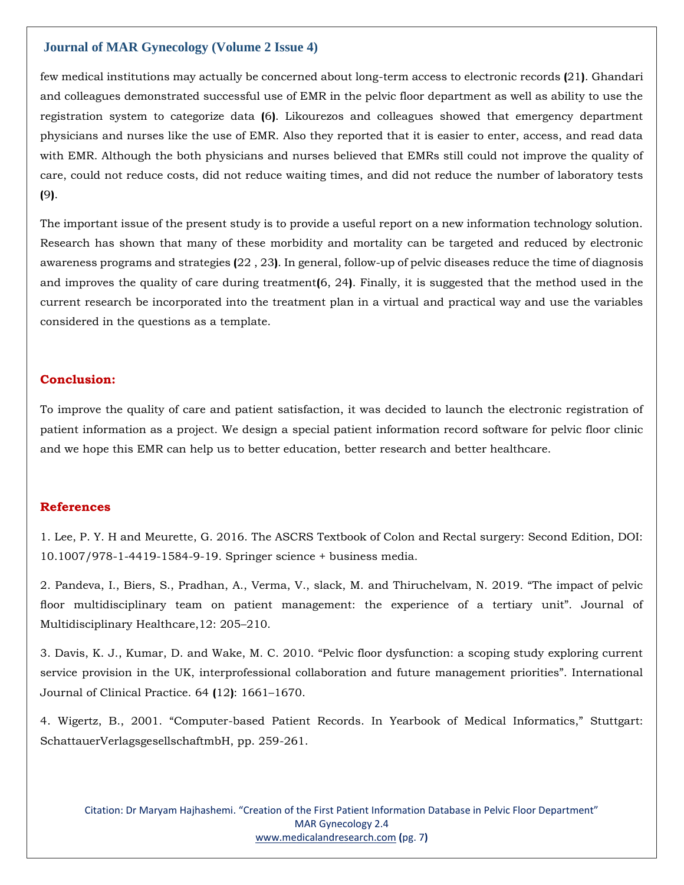few medical institutions may actually be concerned about long-term access to electronic records **(**21**)**. Ghandari and colleagues demonstrated successful use of EMR in the pelvic floor department as well as ability to use the registration system to categorize data **(**6**)**. Likourezos and colleagues showed that emergency department physicians and nurses like the use of EMR. Also they reported that it is easier to enter, access, and read data with EMR. Although the both physicians and nurses believed that EMRs still could not improve the quality of care, could not reduce costs, did not reduce waiting times, and did not reduce the number of laboratory tests **(**9**)**.

The important issue of the present study is to provide a useful report on a new information technology solution. Research has shown that many of these morbidity and mortality can be targeted and reduced by electronic awareness programs and strategies **(**22 , 23**)**. In general, follow-up of pelvic diseases reduce the time of diagnosis and improves the quality of care during treatment**(**6, 24**)**. Finally, it is suggested that the method used in the current research be incorporated into the treatment plan in a virtual and practical way and use the variables considered in the questions as a template.

#### **Conclusion:**

To improve the quality of care and patient satisfaction, it was decided to launch the electronic registration of patient information as a project. We design a special patient information record software for pelvic floor clinic and we hope this EMR can help us to better education, better research and better healthcare.

#### **References**

1. Lee, P. Y. H and Meurette, G. 2016. The ASCRS Textbook of Colon and Rectal surgery: Second Edition, DOI: 10.1007/978-1-4419-1584-9-19. Springer science + business media.

2. Pandeva, I., Biers, S., Pradhan, A., Verma, V., slack, M. and Thiruchelvam, N. 2019. "The impact of pelvic floor multidisciplinary team on patient management: the experience of a tertiary unit". Journal of Multidisciplinary Healthcare,12: 205–210.

3. Davis, K. J., Kumar, D. and Wake, M. C. 2010. "Pelvic floor dysfunction: a scoping study exploring current service provision in the UK, interprofessional collaboration and future management priorities". International Journal of Clinical Practice. 64 **(**12**)**: 1661–1670.

4. Wigertz, B., 2001. "Computer-based Patient Records. In Yearbook of Medical Informatics," Stuttgart: SchattauerVerlagsgesellschaftmbH, pp. 259-261.

Citation: Dr Maryam Hajhashemi. "Creation of the First Patient Information Database in Pelvic Floor Department" MAR Gynecology 2.4 [www.medicalandresearch.com](http://www.medicalandresearch.com/) **(**pg. 7**)**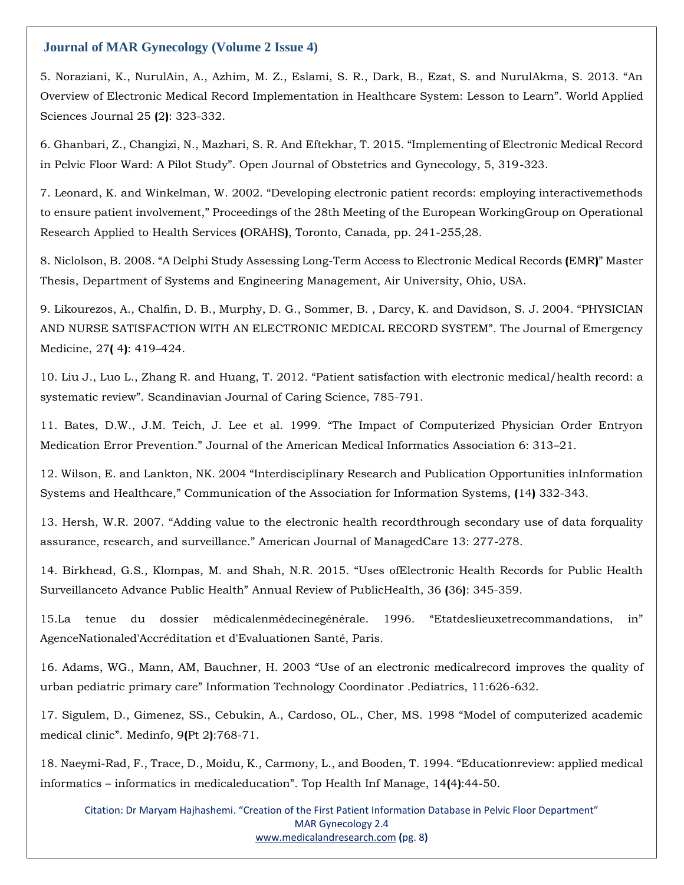5. Noraziani, K., NurulAin, A., Azhim, M. Z., Eslami, S. R., Dark, B., Ezat, S. and NurulAkma, S. 2013. "An Overview of Electronic Medical Record Implementation in Healthcare System: Lesson to Learn". World Applied Sciences Journal 25 **(**2**)**: 323-332.

6. Ghanbari, Z., Changizi, N., Mazhari, S. R. And Eftekhar, T. 2015. "Implementing of Electronic Medical Record in Pelvic Floor Ward: A Pilot Study". Open Journal of Obstetrics and Gynecology, 5, 319-323.

7. Leonard, K. and Winkelman, W. 2002. "Developing electronic patient records: employing interactivemethods to ensure patient involvement," Proceedings of the 28th Meeting of the European WorkingGroup on Operational Research Applied to Health Services **(**ORAHS**)**, Toronto, Canada, pp. 241-255,28.

8. Niclolson, B. 2008. "A Delphi Study Assessing Long-Term Access to Electronic Medical Records **(**EMR**)**" Master Thesis, Department of Systems and Engineering Management, Air University, Ohio, USA.

9. Likourezos, A., Chalfin, D. B., Murphy, D. G., Sommer, B. , Darcy, K. and Davidson, S. J. 2004. "PHYSICIAN AND NURSE SATISFACTION WITH AN ELECTRONIC MEDICAL RECORD SYSTEM". The Journal of Emergency Medicine, 27**(** 4**)**: 419–424.

10. Liu J., Luo L., Zhang R. and Huang, T. 2012. "Patient satisfaction with electronic medical/health record: a systematic review". Scandinavian Journal of Caring Science, 785-791.

11. Bates, D.W., J.M. Teich, J. Lee et al. 1999. "The Impact of Computerized Physician Order Entryon Medication Error Prevention." Journal of the American Medical Informatics Association 6: 313–21.

12. Wilson, E. and Lankton, NK. 2004 "Interdisciplinary Research and Publication Opportunities inInformation Systems and Healthcare," Communication of the Association for Information Systems, **(**14**)** 332-343.

13. Hersh, W.R. 2007. "Adding value to the electronic health recordthrough secondary use of data forquality assurance, research, and surveillance." American Journal of ManagedCare 13: 277-278.

14. Birkhead, G.S., Klompas, M. and Shah, N.R. 2015. "Uses ofElectronic Health Records for Public Health Surveillanceto Advance Public Health" Annual Review of PublicHealth, 36 **(**36**)**: 345-359.

15.La tenue du dossier médicalenmédecinegénérale. 1996. "Etatdeslieuxetrecommandations, in" AgenceNationaled'Accréditation et d'Evaluationen Santé, Paris.

16. Adams, WG., Mann, AM, Bauchner, H. 2003 "Use of an electronic medicalrecord improves the quality of urban pediatric primary care" Information Technology Coordinator .Pediatrics, 11:626-632.

17. Sigulem, D., Gimenez, SS., Cebukin, A., Cardoso, OL., Cher, MS. 1998 "Model of computerized academic medical clinic". Medinfo, 9**(**Pt 2**)**:768-71.

18. Naeymi-Rad, F., Trace, D., Moidu, K., Carmony, L., and Booden, T. 1994. "Educationreview: applied medical informatics – informatics in medicaleducation". Top Health Inf Manage, 14**(**4**)**:44-50.

Citation: Dr Maryam Hajhashemi. "Creation of the First Patient Information Database in Pelvic Floor Department" MAR Gynecology 2.4 [www.medicalandresearch.com](http://www.medicalandresearch.com/) **(**pg. 8**)**